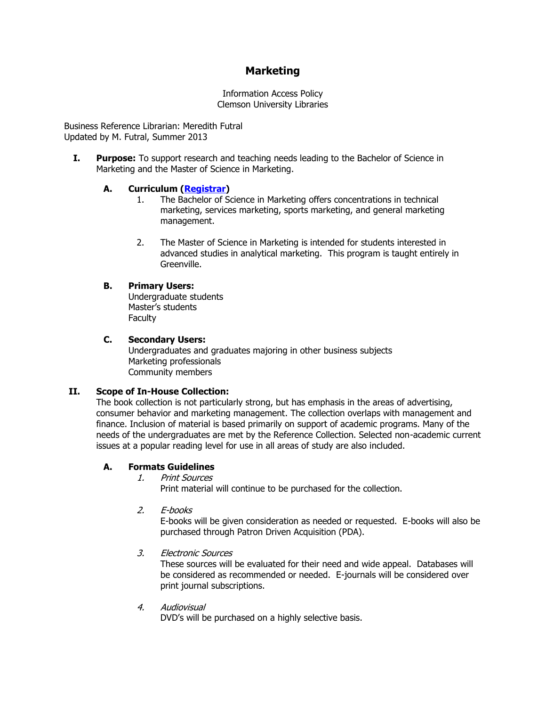# **Marketing**

Information Access Policy Clemson University Libraries

Business Reference Librarian: Meredith Futral Updated by M. Futral, Summer 2013

**I. Purpose:** To support research and teaching needs leading to the Bachelor of Science in Marketing and the Master of Science in Marketing.

## **A. Curriculum [\(Registrar\)](http://www.registrar.clemson.edu/)**

- 1. The Bachelor of Science in Marketing offers concentrations in technical marketing, services marketing, sports marketing, and general marketing management.
- 2. The Master of Science in Marketing is intended for students interested in advanced studies in analytical marketing. This program is taught entirely in Greenville.

## **B. Primary Users:**

Undergraduate students Master's students **Faculty** 

## **C. Secondary Users:**

Undergraduates and graduates majoring in other business subjects Marketing professionals Community members

## **II. Scope of In-House Collection:**

The book collection is not particularly strong, but has emphasis in the areas of advertising, consumer behavior and marketing management. The collection overlaps with management and finance. Inclusion of material is based primarily on support of academic programs. Many of the needs of the undergraduates are met by the Reference Collection. Selected non-academic current issues at a popular reading level for use in all areas of study are also included.

## **A. Formats Guidelines**

1. Print Sources

Print material will continue to be purchased for the collection.

2. E-books

E-books will be given consideration as needed or requested. E-books will also be purchased through Patron Driven Acquisition (PDA).

3. Electronic Sources

These sources will be evaluated for their need and wide appeal. Databases will be considered as recommended or needed. E-journals will be considered over print journal subscriptions.

4. Audiovisual

DVD's will be purchased on a highly selective basis.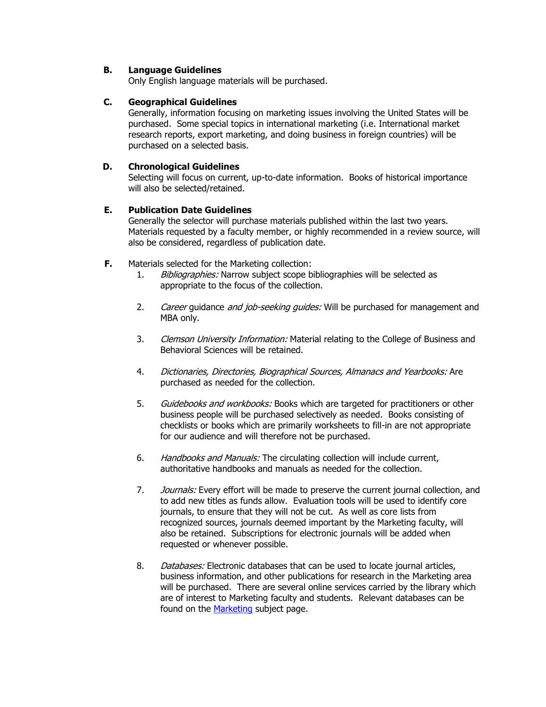## **B. Language Guidelines**

Only English language materials will be purchased.

## **C. Geographical Guidelines**

Generally, information focusing on marketing issues involving the United States will be purchased. Some special topics in international marketing (i.e. International market research reports, export marketing, and doing business in foreign countries) will be purchased on a selected basis.

## **D. Chronological Guidelines**

Selecting will focus on current, up-to-date information. Books of historical importance will also be selected/retained.

## **E. Publication Date Guidelines**

Generally the selector will purchase materials published within the last two years. Materials requested by a faculty member, or highly recommended in a review source, will also be considered, regardless of publication date.

- **F.** Materials selected for the Marketing collection:
	- 1. Bibliographies: Narrow subject scope bibliographies will be selected as appropriate to the focus of the collection.
	- 2. Career guidance and job-seeking quides: Will be purchased for management and MBA only.
	- 3. Clemson University Information: Material relating to the College of Business and Behavioral Sciences will be retained.
	- 4. Dictionaries, Directories, Biographical Sources, Almanacs and Yearbooks: Are purchased as needed for the collection.
	- 5. Guidebooks and workbooks: Books which are targeted for practitioners or other business people will be purchased selectively as needed. Books consisting of checklists or books which are primarily worksheets to fill-in are not appropriate for our audience and will therefore not be purchased.
	- 6. Handbooks and Manuals: The circulating collection will include current, authoritative handbooks and manuals as needed for the collection.
	- 7. Journals: Every effort will be made to preserve the current journal collection, and to add new titles as funds allow. Evaluation tools will be used to identify core journals, to ensure that they will not be cut. As well as core lists from recognized sources, journals deemed important by the Marketing faculty, will also be retained. Subscriptions for electronic journals will be added when requested or whenever possible.
	- 8. Databases: Electronic databases that can be used to locate journal articles, business information, and other publications for research in the Marketing area will be purchased. There are several online services carried by the library which are of interest to Marketing faculty and students. Relevant databases can be found on the [Marketing](http://clemson.libguides.com/marketing) subject page.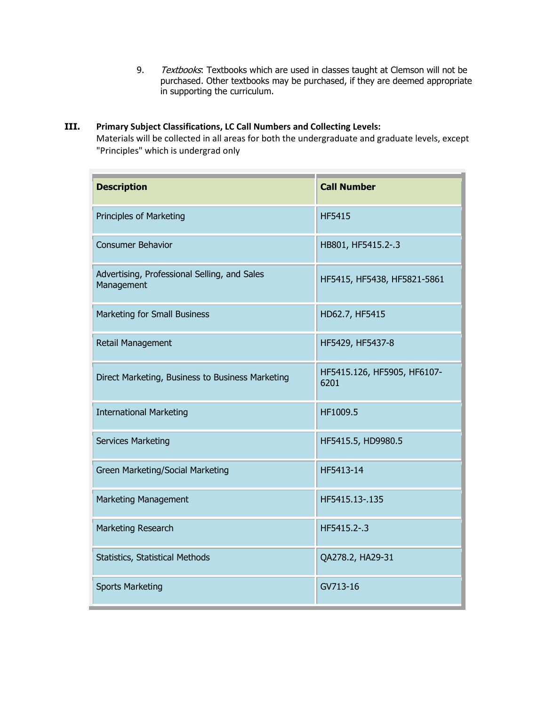9. Textbooks: Textbooks which are used in classes taught at Clemson will not be purchased. Other textbooks may be purchased, if they are deemed appropriate in supporting the curriculum.

## **III. Primary Subject Classifications, LC Call Numbers and Collecting Levels:**

Materials will be collected in all areas for both the undergraduate and graduate levels, except "Principles" which is undergrad only

| <b>Description</b>                                         | <b>Call Number</b>                  |
|------------------------------------------------------------|-------------------------------------|
| Principles of Marketing                                    | <b>HF5415</b>                       |
| <b>Consumer Behavior</b>                                   | HB801, HF5415.2-.3                  |
| Advertising, Professional Selling, and Sales<br>Management | HF5415, HF5438, HF5821-5861         |
| Marketing for Small Business                               | HD62.7, HF5415                      |
| Retail Management                                          | HF5429, HF5437-8                    |
| Direct Marketing, Business to Business Marketing           | HF5415.126, HF5905, HF6107-<br>6201 |
| <b>International Marketing</b>                             | HF1009.5                            |
| <b>Services Marketing</b>                                  | HF5415.5, HD9980.5                  |
| Green Marketing/Social Marketing                           | HF5413-14                           |
| Marketing Management                                       | HF5415.13-.135                      |
| Marketing Research                                         | HF5415.2-.3                         |
| Statistics, Statistical Methods                            | QA278.2, HA29-31                    |
| <b>Sports Marketing</b>                                    | GV713-16                            |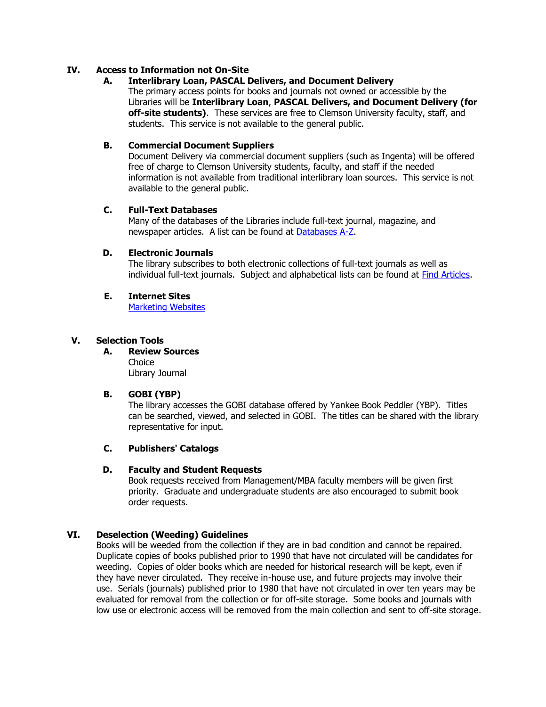#### **IV. Access to Information not On-Site**

#### **A. Interlibrary Loan, PASCAL Delivers, and Document Delivery**

The primary access points for books and journals not owned or accessible by the Libraries will be **Interlibrary Loan**, **PASCAL Delivers, and Document Delivery (for off-site students)**. These services are free to Clemson University faculty, staff, and students. This service is not available to the general public.

#### **B. Commercial Document Suppliers**

Document Delivery via commercial document suppliers (such as Ingenta) will be offered free of charge to Clemson University students, faculty, and staff if the needed information is not available from traditional interlibrary loan sources. This service is not available to the general public.

#### **C. Full-Text Databases**

Many of the databases of the Libraries include full-text journal, magazine, and newspaper articles. A list can be found at [Databases A-Z.](http://www.clemson.edu/library/allsubjects/databases_AZ.html)

#### **D. Electronic Journals**

The library subscribes to both electronic collections of full-text journals as well as individual full-text journals. Subject and alphabetical lists can be found at [Find Articles.](http://www.clemson.edu/library/allsubjects/findarticles.html)

#### **E. Internet Sites**

[Marketing Websites](http://clemson.libguides.com/content.php?pid=224877&sid=1864222)

#### **V. Selection Tools**

**A. Review Sources**  Choice Library Journal

## **B. GOBI (YBP)**

The library accesses the GOBI database offered by Yankee Book Peddler (YBP). Titles can be searched, viewed, and selected in GOBI. The titles can be shared with the library representative for input.

## **C. Publishers' Catalogs**

#### **D. Faculty and Student Requests**

Book requests received from Management/MBA faculty members will be given first priority. Graduate and undergraduate students are also encouraged to submit book order requests.

## **VI. Deselection (Weeding) Guidelines**

Books will be weeded from the collection if they are in bad condition and cannot be repaired. Duplicate copies of books published prior to 1990 that have not circulated will be candidates for weeding. Copies of older books which are needed for historical research will be kept, even if they have never circulated. They receive in-house use, and future projects may involve their use. Serials (journals) published prior to 1980 that have not circulated in over ten years may be evaluated for removal from the collection or for off-site storage. Some books and journals with low use or electronic access will be removed from the main collection and sent to off-site storage.